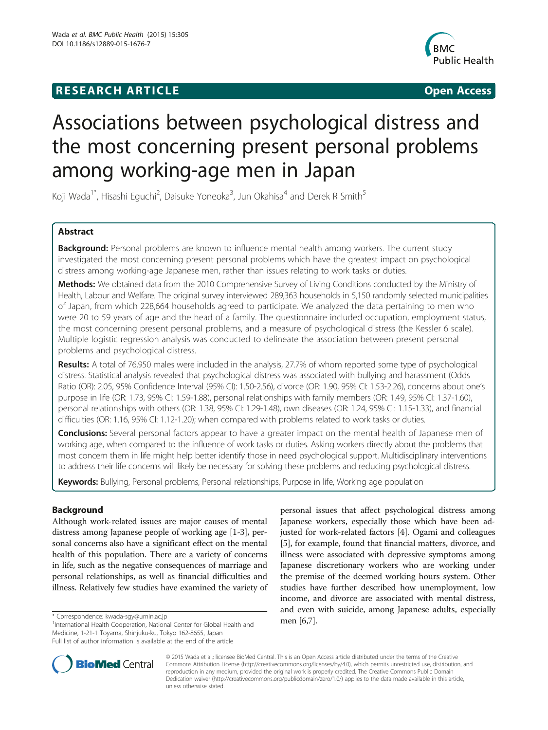# **RESEARCH ARTICLE Example 2018 12:00 Department of the Contract Open Access**



# Associations between psychological distress and the most concerning present personal problems among working-age men in Japan

Koji Wada<sup>1\*</sup>, Hisashi Eguchi<sup>2</sup>, Daisuke Yoneoka<sup>3</sup>, Jun Okahisa<sup>4</sup> and Derek R Smith<sup>5</sup>

# Abstract

Background: Personal problems are known to influence mental health among workers. The current study investigated the most concerning present personal problems which have the greatest impact on psychological distress among working-age Japanese men, rather than issues relating to work tasks or duties.

Methods: We obtained data from the 2010 Comprehensive Survey of Living Conditions conducted by the Ministry of Health, Labour and Welfare. The original survey interviewed 289,363 households in 5,150 randomly selected municipalities of Japan, from which 228,664 households agreed to participate. We analyzed the data pertaining to men who were 20 to 59 years of age and the head of a family. The questionnaire included occupation, employment status, the most concerning present personal problems, and a measure of psychological distress (the Kessler 6 scale). Multiple logistic regression analysis was conducted to delineate the association between present personal problems and psychological distress.

Results: A total of 76,950 males were included in the analysis, 27.7% of whom reported some type of psychological distress. Statistical analysis revealed that psychological distress was associated with bullying and harassment (Odds Ratio (OR): 2.05, 95% Confidence Interval (95% CI): 1.50-2.56), divorce (OR: 1.90, 95% CI: 1.53-2.26), concerns about one's purpose in life (OR: 1.73, 95% CI: 1.59-1.88), personal relationships with family members (OR: 1.49, 95% CI: 1.37-1.60), personal relationships with others (OR: 1.38, 95% CI: 1.29-1.48), own diseases (OR: 1.24, 95% CI: 1.15-1.33), and financial difficulties (OR: 1.16, 95% CI: 1.12-1.20); when compared with problems related to work tasks or duties.

Conclusions: Several personal factors appear to have a greater impact on the mental health of Japanese men of working age, when compared to the influence of work tasks or duties. Asking workers directly about the problems that most concern them in life might help better identify those in need psychological support. Multidisciplinary interventions to address their life concerns will likely be necessary for solving these problems and reducing psychological distress.

Keywords: Bullying, Personal problems, Personal relationships, Purpose in life, Working age population

# Background

Although work-related issues are major causes of mental distress among Japanese people of working age [[1-3\]](#page-5-0), personal concerns also have a significant effect on the mental health of this population. There are a variety of concerns in life, such as the negative consequences of marriage and personal relationships, as well as financial difficulties and illness. Relatively few studies have examined the variety of

<sup>\*</sup> Correspondence: [kwada-sgy@umin.ac.jp](mailto:kwada-sgy@umin.ac.jp)<br><sup>1</sup>International Health Cooperation, National Center for Global Health and **men** [**6,7**]**.** Medicine, 1-21-1 Toyama, Shinjuku-ku, Tokyo 162-8655, Japan Full list of author information is available at the end of the article





© 2015 Wada et al.; licensee BioMed Central. This is an Open Access article distributed under the terms of the Creative Commons Attribution License [\(http://creativecommons.org/licenses/by/4.0\)](http://creativecommons.org/licenses/by/4.0), which permits unrestricted use, distribution, and reproduction in any medium, provided the original work is properly credited. The Creative Commons Public Domain Dedication waiver [\(http://creativecommons.org/publicdomain/zero/1.0/](http://creativecommons.org/publicdomain/zero/1.0/)) applies to the data made available in this article, unless otherwise stated.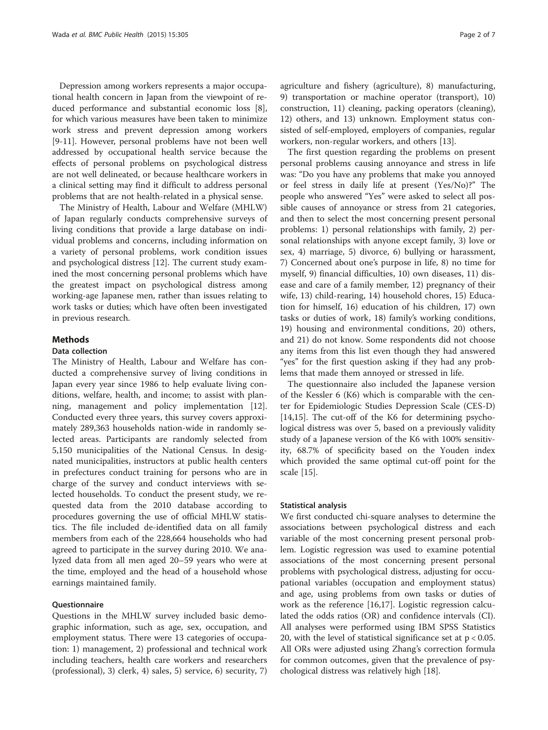Depression among workers represents a major occupational health concern in Japan from the viewpoint of reduced performance and substantial economic loss [\[8](#page-5-0)], for which various measures have been taken to minimize work stress and prevent depression among workers [[9-11](#page-5-0)]. However, personal problems have not been well addressed by occupational health service because the effects of personal problems on psychological distress are not well delineated, or because healthcare workers in a clinical setting may find it difficult to address personal problems that are not health-related in a physical sense.

The Ministry of Health, Labour and Welfare (MHLW) of Japan regularly conducts comprehensive surveys of living conditions that provide a large database on individual problems and concerns, including information on a variety of personal problems, work condition issues and psychological distress [\[12\]](#page-5-0). The current study examined the most concerning personal problems which have the greatest impact on psychological distress among working-age Japanese men, rather than issues relating to work tasks or duties; which have often been investigated in previous research.

#### **Methods**

# Data collection

The Ministry of Health, Labour and Welfare has conducted a comprehensive survey of living conditions in Japan every year since 1986 to help evaluate living conditions, welfare, health, and income; to assist with planning, management and policy implementation [\[12](#page-5-0)]. Conducted every three years, this survey covers approximately 289,363 households nation-wide in randomly selected areas. Participants are randomly selected from 5,150 municipalities of the National Census. In designated municipalities, instructors at public health centers in prefectures conduct training for persons who are in charge of the survey and conduct interviews with selected households. To conduct the present study, we requested data from the 2010 database according to procedures governing the use of official MHLW statistics. The file included de-identified data on all family members from each of the 228,664 households who had agreed to participate in the survey during 2010. We analyzed data from all men aged 20–59 years who were at the time, employed and the head of a household whose earnings maintained family.

#### Questionnaire

Questions in the MHLW survey included basic demographic information, such as age, sex, occupation, and employment status. There were 13 categories of occupation: 1) management, 2) professional and technical work including teachers, health care workers and researchers (professional), 3) clerk, 4) sales, 5) service, 6) security, 7)

agriculture and fishery (agriculture), 8) manufacturing, 9) transportation or machine operator (transport), 10) construction, 11) cleaning, packing operators (cleaning), 12) others, and 13) unknown. Employment status consisted of self-employed, employers of companies, regular workers, non-regular workers, and others [[13\]](#page-5-0).

The first question regarding the problems on present personal problems causing annoyance and stress in life was: "Do you have any problems that make you annoyed or feel stress in daily life at present (Yes/No)?" The people who answered "Yes" were asked to select all possible causes of annoyance or stress from 21 categories, and then to select the most concerning present personal problems: 1) personal relationships with family, 2) personal relationships with anyone except family, 3) love or sex, 4) marriage, 5) divorce, 6) bullying or harassment, 7) Concerned about one's purpose in life, 8) no time for myself, 9) financial difficulties, 10) own diseases, 11) disease and care of a family member, 12) pregnancy of their wife, 13) child-rearing, 14) household chores, 15) Education for himself, 16) education of his children, 17) own tasks or duties of work, 18) family's working conditions, 19) housing and environmental conditions, 20) others, and 21) do not know. Some respondents did not choose any items from this list even though they had answered "yes" for the first question asking if they had any problems that made them annoyed or stressed in life.

The questionnaire also included the Japanese version of the Kessler 6 (K6) which is comparable with the center for Epidemiologic Studies Depression Scale (CES-D) [[14,15\]](#page-5-0). The cut-off of the K6 for determining psychological distress was over 5, based on a previously validity study of a Japanese version of the K6 with 100% sensitivity, 68.7% of specificity based on the Youden index which provided the same optimal cut-off point for the scale [\[15](#page-5-0)].

#### Statistical analysis

We first conducted chi-square analyses to determine the associations between psychological distress and each variable of the most concerning present personal problem. Logistic regression was used to examine potential associations of the most concerning present personal problems with psychological distress, adjusting for occupational variables (occupation and employment status) and age, using problems from own tasks or duties of work as the reference [\[16,17](#page-5-0)]. Logistic regression calculated the odds ratios (OR) and confidence intervals (CI). All analyses were performed using IBM SPSS Statistics 20, with the level of statistical significance set at p < 0.05. All ORs were adjusted using Zhang's correction formula for common outcomes, given that the prevalence of psychological distress was relatively high [[18\]](#page-5-0).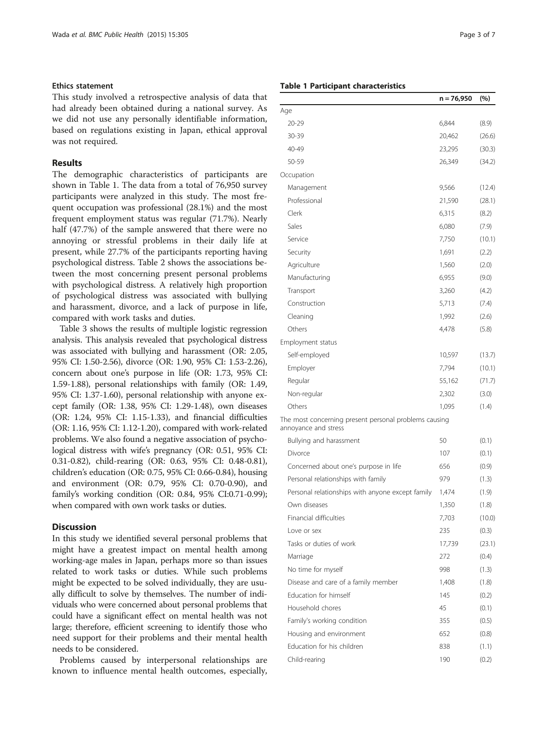#### Ethics statement

This study involved a retrospective analysis of data that had already been obtained during a national survey. As we did not use any personally identifiable information, based on regulations existing in Japan, ethical approval was not required.

## Results

The demographic characteristics of participants are shown in Table 1. The data from a total of 76,950 survey participants were analyzed in this study. The most frequent occupation was professional (28.1%) and the most frequent employment status was regular (71.7%). Nearly half (47.7%) of the sample answered that there were no annoying or stressful problems in their daily life at present, while 27.7% of the participants reporting having psychological distress. Table [2](#page-3-0) shows the associations between the most concerning present personal problems with psychological distress. A relatively high proportion of psychological distress was associated with bullying and harassment, divorce, and a lack of purpose in life, compared with work tasks and duties.

Table [3](#page-4-0) shows the results of multiple logistic regression analysis. This analysis revealed that psychological distress was associated with bullying and harassment (OR: 2.05, 95% CI: 1.50-2.56), divorce (OR: 1.90, 95% CI: 1.53-2.26), concern about one's purpose in life (OR: 1.73, 95% CI: 1.59-1.88), personal relationships with family (OR: 1.49, 95% CI: 1.37-1.60), personal relationship with anyone except family (OR: 1.38, 95% CI: 1.29-1.48), own diseases (OR: 1.24, 95% CI: 1.15-1.33), and financial difficulties (OR: 1.16, 95% CI: 1.12-1.20), compared with work-related problems. We also found a negative association of psychological distress with wife's pregnancy (OR: 0.51, 95% CI: 0.31-0.82), child-rearing (OR: 0.63, 95% CI: 0.48-0.81), children's education (OR: 0.75, 95% CI: 0.66-0.84), housing and environment (OR: 0.79, 95% CI: 0.70-0.90), and family's working condition (OR: 0.84, 95% CI:0.71-0.99); when compared with own work tasks or duties.

## **Discussion**

In this study we identified several personal problems that might have a greatest impact on mental health among working-age males in Japan, perhaps more so than issues related to work tasks or duties. While such problems might be expected to be solved individually, they are usually difficult to solve by themselves. The number of individuals who were concerned about personal problems that could have a significant effect on mental health was not large; therefore, efficient screening to identify those who need support for their problems and their mental health needs to be considered.

Problems caused by interpersonal relationships are known to influence mental health outcomes, especially,

## Table 1 Participant characteristics

|                                                                               | n = 76,950 | $(\% )$ |
|-------------------------------------------------------------------------------|------------|---------|
| Age                                                                           |            |         |
| 20-29                                                                         | 6,844      | (8.9)   |
| 30-39                                                                         | 20,462     | (26.6)  |
| 40-49                                                                         | 23,295     | (30.3)  |
| 50-59                                                                         | 26,349     | (34.2)  |
| Occupation                                                                    |            |         |
| Management                                                                    | 9,566      | (12.4)  |
| Professional                                                                  | 21,590     | (28.1)  |
| Clerk                                                                         | 6,315      | (8.2)   |
| Sales                                                                         | 6,080      | (7.9)   |
| Service                                                                       | 7,750      | (10.1)  |
| Security                                                                      | 1,691      | (2.2)   |
| Agriculture                                                                   | 1,560      | (2.0)   |
| Manufacturing                                                                 | 6,955      | (9.0)   |
| Transport                                                                     | 3,260      | (4.2)   |
| Construction                                                                  | 5,713      | (7.4)   |
| Cleaning                                                                      | 1,992      | (2.6)   |
| Others                                                                        | 4,478      | (5.8)   |
| Employment status                                                             |            |         |
| Self-employed                                                                 | 10,597     | (13.7)  |
| Employer                                                                      | 7,794      | (10.1)  |
| Regular                                                                       | 55,162     | (71.7)  |
| Non-regular                                                                   | 2,302      | (3.0)   |
| Others                                                                        | 1,095      | (1.4)   |
| The most concerning present personal problems causing<br>annoyance and stress |            |         |
| Bullying and harassment                                                       | 50         | (0.1)   |
| Divorce                                                                       | 107        | (0.1)   |
| Concerned about one's purpose in life                                         | 656        | (0.9)   |
| Personal relationships with family                                            | 979        | (1.3)   |
| Personal relationships with anyone except family                              | 1,474      | (1.9)   |
| Own diseases                                                                  | 1,350      | (1.8)   |
| Financial difficulties                                                        | 7,703      | (10.0)  |
| Love or sex                                                                   | 235        | (0.3)   |
| Tasks or duties of work                                                       | 17,739     | (23.1)  |
| Marriage                                                                      | 272        | (0.4)   |
| No time for myself                                                            | 998        | (1.3)   |
| Disease and care of a family member                                           | 1,408      | (1.8)   |
| Education for himself                                                         | 145        | (0.2)   |
| Household chores                                                              | 45         | (0.1)   |
| Family's working condition                                                    | 355        | (0.5)   |
| Housing and environment                                                       | 652        | (0.8)   |
| Education for his children                                                    | 838        | (1.1)   |
| Child-rearing                                                                 | 190        | (0.2)   |
|                                                                               |            |         |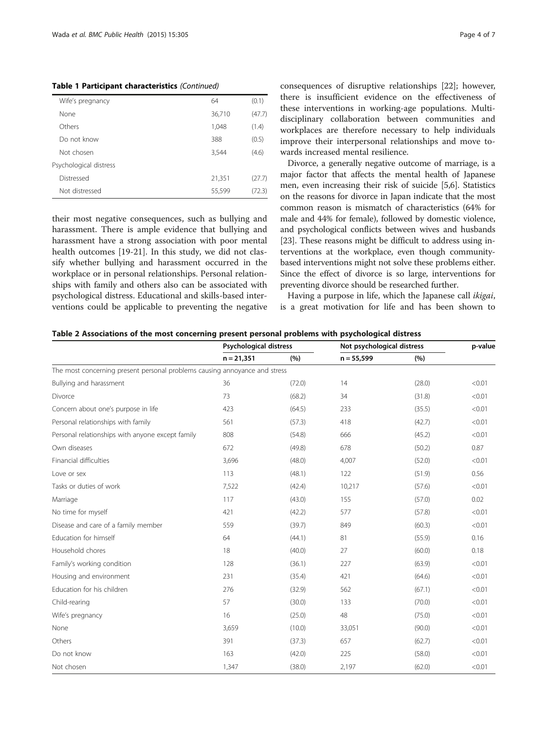<span id="page-3-0"></span>Table 1 Participant characteristics (Continued)

| 64     | (0.1)  |
|--------|--------|
| 36,710 | (47.7) |
| 1,048  | (1.4)  |
| 388    | (0.5)  |
| 3,544  | (4.6)  |
|        |        |
| 21,351 | (27.7) |
| 55,599 | (72.3) |
|        |        |

their most negative consequences, such as bullying and harassment. There is ample evidence that bullying and harassment have a strong association with poor mental health outcomes [[19-21](#page-5-0)]. In this study, we did not classify whether bullying and harassment occurred in the workplace or in personal relationships. Personal relationships with family and others also can be associated with psychological distress. Educational and skills-based interventions could be applicable to preventing the negative consequences of disruptive relationships [[22\]](#page-6-0); however, there is insufficient evidence on the effectiveness of these interventions in working-age populations. Multidisciplinary collaboration between communities and workplaces are therefore necessary to help individuals improve their interpersonal relationships and move towards increased mental resilience.

Divorce, a generally negative outcome of marriage, is a major factor that affects the mental health of Japanese men, even increasing their risk of suicide [[5,6](#page-5-0)]. Statistics on the reasons for divorce in Japan indicate that the most common reason is mismatch of characteristics (64% for male and 44% for female), followed by domestic violence, and psychological conflicts between wives and husbands [[23](#page-6-0)]. These reasons might be difficult to address using interventions at the workplace, even though communitybased interventions might not solve these problems either. Since the effect of divorce is so large, interventions for preventing divorce should be researched further.

Having a purpose in life, which the Japanese call ikigai, is a great motivation for life and has been shown to

|  | Table 2 Associations of the most concerning present personal problems with psychological distress |  |  |  |  |
|--|---------------------------------------------------------------------------------------------------|--|--|--|--|
|--|---------------------------------------------------------------------------------------------------|--|--|--|--|

|                                                                            | <b>Psychological distress</b> |        | Not psychological distress |        | p-value |
|----------------------------------------------------------------------------|-------------------------------|--------|----------------------------|--------|---------|
|                                                                            | $n = 21,351$                  | (%)    | $n = 55,599$               | (%)    |         |
| The most concerning present personal problems causing annoyance and stress |                               |        |                            |        |         |
| Bullying and harassment                                                    | 36                            | (72.0) | 14                         | (28.0) | < 0.01  |
| Divorce                                                                    | 73                            | (68.2) | 34                         | (31.8) | < 0.01  |
| Concern about one's purpose in life                                        | 423                           | (64.5) | 233                        | (35.5) | < 0.01  |
| Personal relationships with family                                         | 561                           | (57.3) | 418                        | (42.7) | < 0.01  |
| Personal relationships with anyone except family                           | 808                           | (54.8) | 666                        | (45.2) | < 0.01  |
| Own diseases                                                               | 672                           | (49.8) | 678                        | (50.2) | 0.87    |
| Financial difficulties                                                     | 3,696                         | (48.0) | 4,007                      | (52.0) | < 0.01  |
| Love or sex                                                                | 113                           | (48.1) | 122                        | (51.9) | 0.56    |
| Tasks or duties of work                                                    | 7,522                         | (42.4) | 10,217                     | (57.6) | < 0.01  |
| Marriage                                                                   | 117                           | (43.0) | 155                        | (57.0) | 0.02    |
| No time for myself                                                         | 421                           | (42.2) | 577                        | (57.8) | < 0.01  |
| Disease and care of a family member                                        | 559                           | (39.7) | 849                        | (60.3) | < 0.01  |
| Education for himself                                                      | 64                            | (44.1) | 81                         | (55.9) | 0.16    |
| Household chores                                                           | 18                            | (40.0) | 27                         | (60.0) | 0.18    |
| Family's working condition                                                 | 128                           | (36.1) | 227                        | (63.9) | < 0.01  |
| Housing and environment                                                    | 231                           | (35.4) | 421                        | (64.6) | < 0.01  |
| Education for his children                                                 | 276                           | (32.9) | 562                        | (67.1) | < 0.01  |
| Child-rearing                                                              | 57                            | (30.0) | 133                        | (70.0) | < 0.01  |
| Wife's pregnancy                                                           | 16                            | (25.0) | 48                         | (75.0) | < 0.01  |
| None                                                                       | 3,659                         | (10.0) | 33,051                     | (90.0) | < 0.01  |
| Others                                                                     | 391                           | (37.3) | 657                        | (62.7) | < 0.01  |
| Do not know                                                                | 163                           | (42.0) | 225                        | (58.0) | < 0.01  |
| Not chosen                                                                 | 1,347                         | (38.0) | 2,197                      | (62.0) | < 0.01  |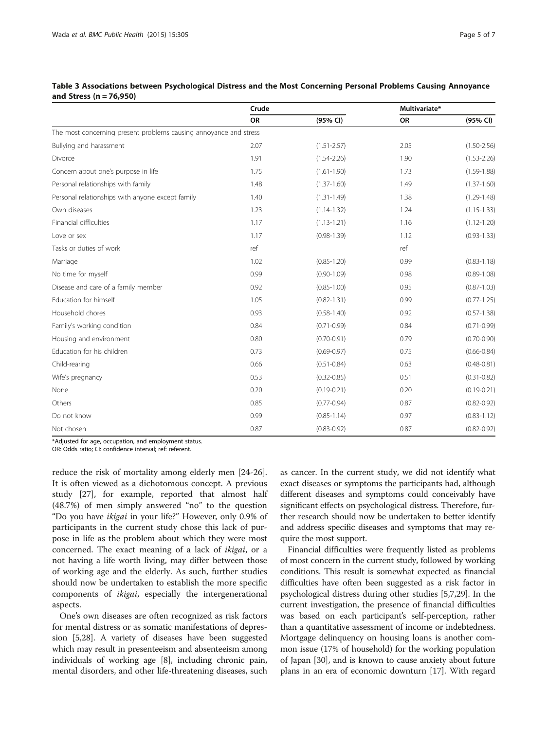|                                                                   | Crude     |                 | Multivariate* |                 |
|-------------------------------------------------------------------|-----------|-----------------|---------------|-----------------|
|                                                                   | <b>OR</b> | (95% CI)        | <b>OR</b>     | (95% CI)        |
| The most concerning present problems causing annoyance and stress |           |                 |               |                 |
| Bullying and harassment                                           | 2.07      | $(1.51 - 2.57)$ | 2.05          | $(1.50 - 2.56)$ |
| Divorce                                                           | 1.91      | $(1.54 - 2.26)$ | 1.90          | $(1.53 - 2.26)$ |
| Concern about one's purpose in life                               | 1.75      | $(1.61 - 1.90)$ | 1.73          | $(1.59 - 1.88)$ |
| Personal relationships with family                                | 1.48      | $(1.37 - 1.60)$ | 1.49          | $(1.37 - 1.60)$ |
| Personal relationships with anyone except family                  | 1.40      | $(1.31 - 1.49)$ | 1.38          | $(1.29 - 1.48)$ |
| Own diseases                                                      | 1.23      | $(1.14 - 1.32)$ | 1.24          | $(1.15 - 1.33)$ |
| Financial difficulties                                            | 1.17      | $(1.13 - 1.21)$ | 1.16          | $(1.12 - 1.20)$ |
| Love or sex                                                       | 1.17      | $(0.98 - 1.39)$ | 1.12          | $(0.93 - 1.33)$ |
| Tasks or duties of work                                           | ref       |                 | ref           |                 |
| Marriage                                                          | 1.02      | $(0.85 - 1.20)$ | 0.99          | $(0.83 - 1.18)$ |
| No time for myself                                                | 0.99      | $(0.90 - 1.09)$ | 0.98          | $(0.89 - 1.08)$ |
| Disease and care of a family member                               | 0.92      | $(0.85 - 1.00)$ | 0.95          | $(0.87 - 1.03)$ |
| Education for himself                                             | 1.05      | $(0.82 - 1.31)$ | 0.99          | $(0.77 - 1.25)$ |
| Household chores                                                  | 0.93      | $(0.58 - 1.40)$ | 0.92          | $(0.57 - 1.38)$ |
| Family's working condition                                        | 0.84      | $(0.71 - 0.99)$ | 0.84          | $(0.71 - 0.99)$ |
| Housing and environment                                           | 0.80      | $(0.70 - 0.91)$ | 0.79          | $(0.70 - 0.90)$ |
| Education for his children                                        | 0.73      | $(0.69 - 0.97)$ | 0.75          | $(0.66 - 0.84)$ |
| Child-rearing                                                     | 0.66      | $(0.51 - 0.84)$ | 0.63          | $(0.48 - 0.81)$ |
| Wife's pregnancy                                                  | 0.53      | $(0.32 - 0.85)$ | 0.51          | $(0.31 - 0.82)$ |
| None                                                              | 0.20      | $(0.19 - 0.21)$ | 0.20          | $(0.19 - 0.21)$ |
| Others                                                            | 0.85      | $(0.77 - 0.94)$ | 0.87          | $(0.82 - 0.92)$ |
| Do not know                                                       | 0.99      | $(0.85 - 1.14)$ | 0.97          | $(0.83 - 1.12)$ |
| Not chosen                                                        | 0.87      | $(0.83 - 0.92)$ | 0.87          | $(0.82 - 0.92)$ |

# <span id="page-4-0"></span>Table 3 Associations between Psychological Distress and the Most Concerning Personal Problems Causing Annoyance and Stress ( $n = 76.950$ )

\*Adjusted for age, occupation, and employment status.

OR: Odds ratio; CI: confidence interval; ref: referent.

reduce the risk of mortality among elderly men [\[24-26](#page-6-0)]. It is often viewed as a dichotomous concept. A previous study [\[27](#page-6-0)], for example, reported that almost half (48.7%) of men simply answered "no" to the question "Do you have ikigai in your life?" However, only 0.9% of participants in the current study chose this lack of purpose in life as the problem about which they were most concerned. The exact meaning of a lack of ikigai, or a not having a life worth living, may differ between those of working age and the elderly. As such, further studies should now be undertaken to establish the more specific components of ikigai, especially the intergenerational aspects.

One's own diseases are often recognized as risk factors for mental distress or as somatic manifestations of depression [[5,](#page-5-0)[28](#page-6-0)]. A variety of diseases have been suggested which may result in presenteeism and absenteeism among individuals of working age [[8\]](#page-5-0), including chronic pain, mental disorders, and other life-threatening diseases, such as cancer. In the current study, we did not identify what exact diseases or symptoms the participants had, although different diseases and symptoms could conceivably have significant effects on psychological distress. Therefore, further research should now be undertaken to better identify and address specific diseases and symptoms that may require the most support.

Financial difficulties were frequently listed as problems of most concern in the current study, followed by working conditions. This result is somewhat expected as financial difficulties have often been suggested as a risk factor in psychological distress during other studies [\[5,7](#page-5-0)[,29\]](#page-6-0). In the current investigation, the presence of financial difficulties was based on each participant's self-perception, rather than a quantitative assessment of income or indebtedness. Mortgage delinquency on housing loans is another common issue (17% of household) for the working population of Japan [\[30\]](#page-6-0), and is known to cause anxiety about future plans in an era of economic downturn [\[17\]](#page-5-0). With regard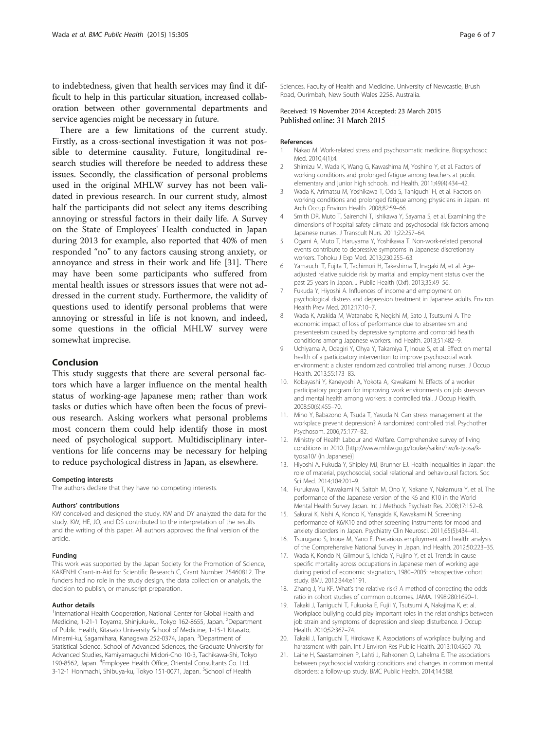<span id="page-5-0"></span>to indebtedness, given that health services may find it difficult to help in this particular situation, increased collaboration between other governmental departments and service agencies might be necessary in future.

There are a few limitations of the current study. Firstly, as a cross-sectional investigation it was not possible to determine causality. Future, longitudinal research studies will therefore be needed to address these issues. Secondly, the classification of personal problems used in the original MHLW survey has not been validated in previous research. In our current study, almost half the participants did not select any items describing annoying or stressful factors in their daily life. A Survey on the State of Employees' Health conducted in Japan during 2013 for example, also reported that 40% of men responded "no" to any factors causing strong anxiety, or annoyance and stress in their work and life [\[31](#page-6-0)]. There may have been some participants who suffered from mental health issues or stressors issues that were not addressed in the current study. Furthermore, the validity of questions used to identify personal problems that were annoying or stressful in life is not known, and indeed, some questions in the official MHLW survey were somewhat imprecise.

#### Conclusion

This study suggests that there are several personal factors which have a larger influence on the mental health status of working-age Japanese men; rather than work tasks or duties which have often been the focus of previous research. Asking workers what personal problems most concern them could help identify those in most need of psychological support. Multidisciplinary interventions for life concerns may be necessary for helping to reduce psychological distress in Japan, as elsewhere.

#### Competing interests

The authors declare that they have no competing interests.

#### Authors' contributions

KW conceived and designed the study. KW and DY analyzed the data for the study. KW, HE, JO, and DS contributed to the interpretation of the results and the writing of this paper. All authors approved the final version of the article.

#### Funding

This work was supported by the Japan Society for the Promotion of Science, KAKENHI Grant-in-Aid for Scientific Research C, Grant Number 25460812. The funders had no role in the study design, the data collection or analysis, the decision to publish, or manuscript preparation.

#### Author details

<sup>1</sup>International Health Cooperation, National Center for Global Health and Medicine, 1-21-1 Toyama, Shinjuku-ku, Tokyo 162-8655, Japan. <sup>2</sup>Department of Public Health, Kitasato University School of Medicine, 1-15-1 Kitasato, Minami-ku, Sagamihara, Kanagawa 252-0374, Japan. <sup>3</sup>Department of Statistical Science, School of Advanced Sciences, the Graduate University for Advanced Studies, Kamiyamaguchi Midori-Cho 10-3, Tachikawa-Shi, Tokyo 190-8562, Japan. <sup>4</sup>Employee Health Office, Oriental Consultants Co. Ltd, 3-12-1 Honmachi, Shibuya-ku, Tokyo 151-0071, Japan. <sup>5</sup>School of Health

Sciences, Faculty of Health and Medicine, University of Newcastle, Brush Road, Ourimbah, New South Wales 2258, Australia.

#### Received: 19 November 2014 Accepted: 23 March 2015 Published online: 31 March 2015

#### References

- 1. Nakao M. Work-related stress and psychosomatic medicine. Biopsychosoc Med. 2010;4(1):4.
- 2. Shimizu M, Wada K, Wang G, Kawashima M, Yoshino Y, et al. Factors of working conditions and prolonged fatigue among teachers at public elementary and junior high schools. Ind Health. 2011;49(4):434–42.
- 3. Wada K, Arimatsu M, Yoshikawa T, Oda S, Taniguchi H, et al. Factors on working conditions and prolonged fatigue among physicians in Japan. Int Arch Occup Environ Health. 2008;82:59–66.
- 4. Smith DR, Muto T, Sairenchi T, Ishikawa Y, Sayama S, et al. Examining the dimensions of hospital safety climate and psychosocial risk factors among Japanese nurses. J Transcult Nurs. 2011;22:257–64.
- 5. Ogami A, Muto T, Haruyama Y, Yoshikawa T. Non-work-related personal events contribute to depressive symptoms in Japanese discretionary workers. Tohoku J Exp Med. 2013;230:255–63.
- 6. Yamauchi T, Fujita T, Tachimori H, Takeshima T, Inagaki M, et al. Ageadjusted relative suicide risk by marital and employment status over the past 25 years in Japan. J Public Health (Oxf). 2013;35:49–56.
- 7. Fukuda Y, Hiyoshi A. Influences of income and employment on psychological distress and depression treatment in Japanese adults. Environ Health Prev Med. 2012;17:10–7.
- 8. Wada K, Arakida M, Watanabe R, Negishi M, Sato J, Tsutsumi A. The economic impact of loss of performance due to absenteeism and presenteeism caused by depressive symptoms and comorbid health conditions among Japanese workers. Ind Health. 2013;51:482–9.
- 9. Uchiyama A, Odagiri Y, Ohya Y, Takamiya T, Inoue S, et al. Effect on mental health of a participatory intervention to improve psychosocial work environment: a cluster randomized controlled trial among nurses. J Occup Health. 2013;55:173–83.
- 10. Kobayashi Y, Kaneyoshi A, Yokota A, Kawakami N. Effects of a worker participatory program for improving work environments on job stressors and mental health among workers: a controlled trial. J Occup Health. 2008;50(6):455–70.
- 11. Mino Y, Babazono A, Tsuda T, Yasuda N. Can stress management at the workplace prevent depression? A randomized controlled trial. Psychother Psychosom. 2006;75:177–82.
- 12. Ministry of Health Labour and Welfare. Comprehensive survey of living conditions in 2010. [[http://www.mhlw.go.jp/toukei/saikin/hw/k-tyosa/k](http://www.mhlw.go.jp/toukei/saikin/hw/k-tyosa/k-tyosa10/)[tyosa10/](http://www.mhlw.go.jp/toukei/saikin/hw/k-tyosa/k-tyosa10/) (in Japanese)]
- 13. Hiyoshi A, Fukuda Y, Shipley MJ, Brunner EJ. Health inequalities in Japan: the role of material, psychosocial, social relational and behavioural factors. Soc Sci Med. 2014;104:201–9.
- 14. Furukawa T, Kawakami N, Saitoh M, Ono Y, Nakane Y, Nakamura Y, et al. The performance of the Japanese version of the K6 and K10 in the World Mental Health Survey Japan. Int J Methods Psychiatr Res. 2008;17:152–8.
- 15. Sakurai K, Nishi A, Kondo K, Yanagida K, Kawakami N. Screening performance of K6/K10 and other screening instruments for mood and anxiety disorders in Japan. Psychiatry Clin Neurosci. 2011;65(5):434–41.
- 16. Tsurugano S, Inoue M, Yano E. Precarious employment and health: analysis of the Comprehensive National Survey in Japan. Ind Health. 2012;50:223–35.
- 17. Wada K, Kondo N, Gilmour S, Ichida Y, Fujino Y, et al. Trends in cause specific mortality across occupations in Japanese men of working age during period of economic stagnation, 1980–2005: retrospective cohort study. BMJ. 2012;344:e1191.
- 18. Zhang J, Yu KF. What's the relative risk? A method of correcting the odds ratio in cohort studies of common outcomes. JAMA. 1998;280:1690–1.
- 19. Takaki J, Taniguchi T, Fukuoka E, Fujii Y, Tsutsumi A, Nakajima K, et al. Workplace bullying could play important roles in the relationships between job strain and symptoms of depression and sleep disturbance. J Occup Health. 2010;52:367–74.
- 20. Takaki J, Taniguchi T, Hirokawa K. Associations of workplace bullying and harassment with pain. Int J Environ Res Public Health. 2013;10:4560–70.
- 21. Laine H, Saastamoinen P, Lahti J, Rahkonen O, Lahelma E. The associations between psychosocial working conditions and changes in common mental disorders: a follow-up study. BMC Public Health. 2014;14:588.